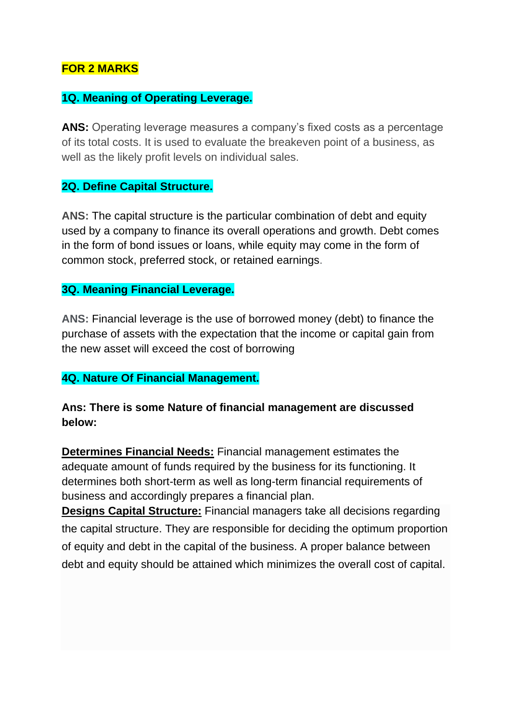## **FOR 2 MARKS**

#### **1Q. Meaning of Operating Leverage.**

**ANS:** Operating leverage measures a company's fixed costs as a percentage of its total costs. It is used to evaluate the breakeven point of a business, as well as the likely profit levels on individual sales.

#### **2Q. Define Capital Structure.**

**ANS:** The capital structure is the particular combination of debt and equity used by a company to finance its overall operations and growth. Debt comes in the form of bond issues or loans, while equity may come in the form of common stock, preferred stock, or retained earnings.

#### **3Q. Meaning Financial Leverage.**

**ANS:** Financial leverage is the use of borrowed money (debt) to finance the purchase of assets with the expectation that the income or capital gain from the new asset will exceed the cost of borrowing

### **4Q. Nature Of Financial Management.**

### **Ans: There is some Nature of financial management are discussed below:**

**Determines Financial Needs:** Financial management estimates the adequate amount of funds required by the business for its functioning. It determines both short-term as well as long-term financial requirements of business and accordingly prepares a financial plan.

**Designs Capital Structure:** Financial managers take all decisions regarding the capital structure. They are responsible for deciding the optimum proportion of equity and debt in the capital of the business. A proper balance between debt and equity should be attained which minimizes the overall cost of capital.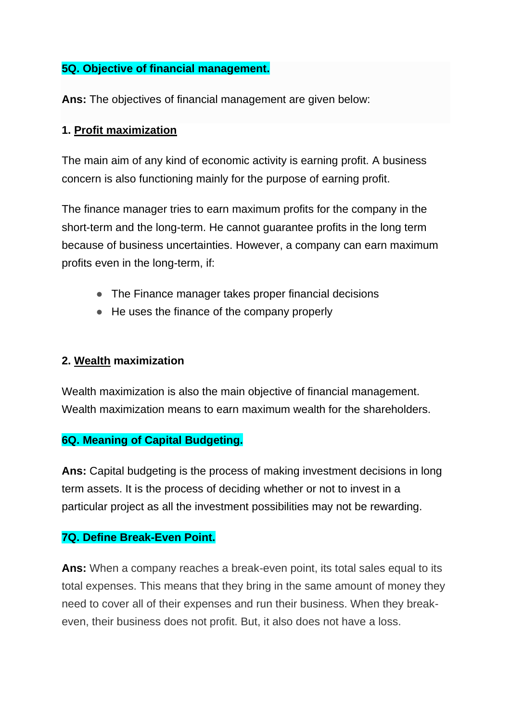## **5Q. Objective of financial management.**

**Ans:** The objectives of financial management are given below:

## **1. [Profit maximization](http://en.wikipedia.org/wiki/Profit_maximization)**

The main aim of any kind of economic activity is earning profit. A business concern is also functioning mainly for the purpose of earning profit.

The finance manager tries to earn maximum profits for the company in the short-term and the long-term. He cannot guarantee profits in the long term because of business uncertainties. However, a company can earn maximum profits even in the long-term, if:

- The Finance manager takes proper financial decisions
- He uses the finance of the company properly

## **2. [Wealth](http://en.wikipedia.org/wiki/Wealth) maximization**

Wealth maximization is also the main objective of financial management. Wealth maximization means to earn maximum wealth for the shareholders.

### **6Q. Meaning of Capital Budgeting.**

**Ans:** Capital budgeting is the process of making investment decisions in long term assets. It is the process of deciding whether or not to invest in a particular project as all the investment possibilities may not be rewarding.

# **7Q. Define Break-Even Point.**

**Ans:** When a company reaches a break-even point, its total sales equal to its total expenses. This means that they bring in the same amount of money they need to cover all of their expenses and run their business. When they breakeven, their business does not profit. But, it also does not have a loss.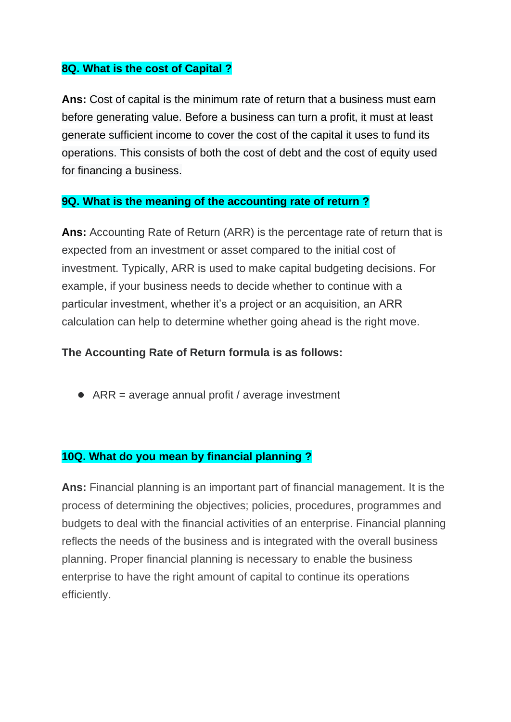#### **8Q. What is the cost of Capital ?**

**Ans:** Cost of capital is the minimum rate of return that a business must earn before generating value. Before a business can turn a profit, it must at least generate sufficient income to cover the cost of the capital it uses to fund its operations. This consists of both the cost of debt and the cost of equity used for financing a business.

#### **9Q. What is the meaning of the accounting rate of return ?**

**Ans:** Accounting Rate of Return (ARR) is the percentage rate of return that is expected from an investment or asset compared to the initial cost of investment. Typically, ARR is used to make capital budgeting decisions. For example, if your business needs to decide whether to continue with a particular investment, whether it's a project or an acquisition, an ARR calculation can help to determine whether going ahead is the right move.

#### **The Accounting Rate of Return formula is as follows:**

 $\bullet$  ARR = average annual profit / average investment

## **10Q. What do you mean by financial planning ?**

**Ans:** Financial planning is an important part of financial management. It is the process of determining the objectives; policies, procedures, programmes and budgets to deal with the financial activities of an enterprise. Financial planning reflects the needs of the business and is integrated with the overall business planning. Proper financial planning is necessary to enable the business enterprise to have the right amount of capital to continue its operations efficiently.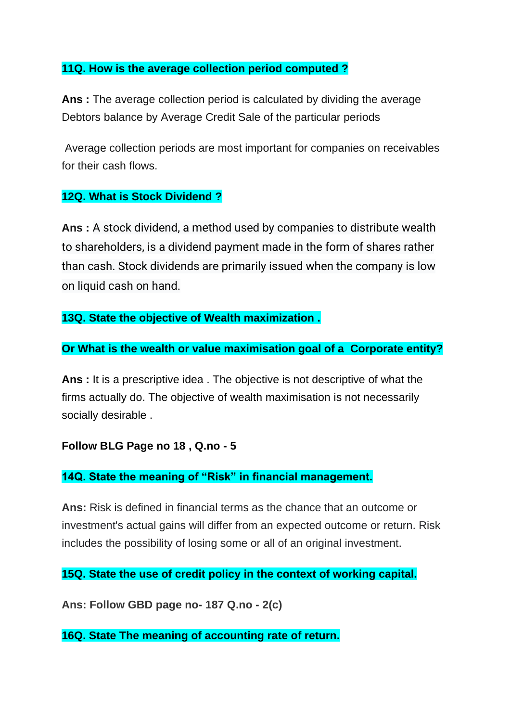#### **11Q. How is the average collection period computed ?**

**Ans :** The average collection period is calculated by dividing the average Debtors balance by Average Credit Sale of the particular periods

Average collection periods are most important for companies on receivables for their cash flows.

### **12Q. What is Stock Dividend ?**

**Ans :** A stock dividend, a method used by companies to distribute wealth to shareholders, is a dividend payment made in the form of shares rather than cash. Stock dividends are primarily issued when the company is low on liquid cash on hand.

### **13Q. State the objective of Wealth maximization .**

### **Or What is the wealth or value maximisation goal of a Corporate entity?**

**Ans :** It is a prescriptive idea . The objective is not descriptive of what the firms actually do. The objective of wealth maximisation is not necessarily socially desirable .

### **Follow BLG Page no 18 , Q.no - 5**

### **14Q. State the meaning of "Risk" in financial management.**

**Ans:** Risk is defined in financial terms as the chance that an outcome or investment's actual gains will differ from an expected outcome or return. Risk includes the possibility of losing some or all of an original investment.

**15Q. State the use of credit policy in the context of working capital.**

**Ans: Follow GBD page no- 187 Q.no - 2(c)**

**16Q. State The meaning of accounting rate of return.**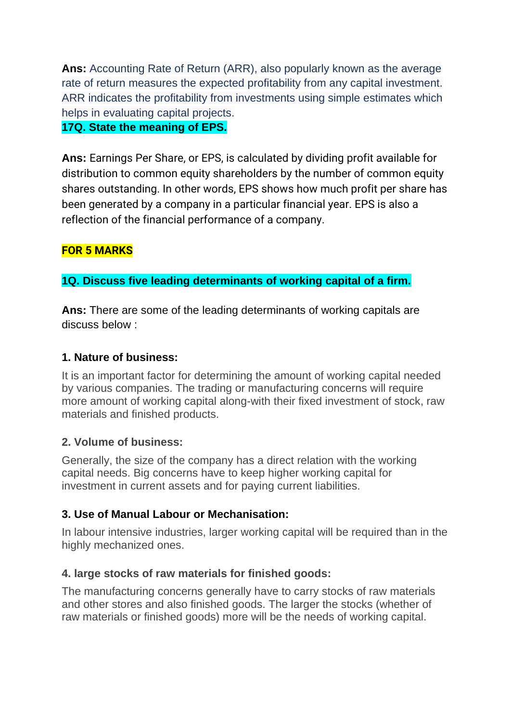**Ans:** Accounting Rate of Return (ARR), also popularly known as the average rate of return measures the expected profitability from any capital investment. ARR indicates the profitability from investments using simple estimates which helps in evaluating capital projects.

### **17Q. State the meaning of EPS.**

**Ans:** Earnings Per Share, or EPS, is calculated by dividing profit available for distribution to common equity shareholders by the number of common equity shares outstanding. In other words, EPS shows how much profit per share has been generated by a company in a particular financial year. EPS is also a reflection of the financial performance of a company.

# **FOR 5 MARKS**

## **1Q. Discuss five leading determinants of working capital of a firm.**

**Ans:** There are some of the leading determinants of working capitals are discuss below :

### **1. Nature of business:**

It is an important factor for determining the amount of working capital needed by various companies. The trading or manufacturing concerns will require more amount of working capital along-with their fixed investment of stock, raw materials and finished products.

### **2. Volume of business:**

Generally, the size of the company has a direct relation with the working capital needs. Big concerns have to keep higher working capital for investment in current assets and for paying current liabilities.

# **3. Use of Manual Labour or Mechanisation:**

In labour intensive industries, larger working capital will be required than in the highly mechanized ones.

# **4. large stocks of raw materials for finished goods:**

The manufacturing concerns generally have to carry stocks of raw materials and other stores and also finished goods. The larger the stocks (whether of raw materials or finished goods) more will be the needs of working capital.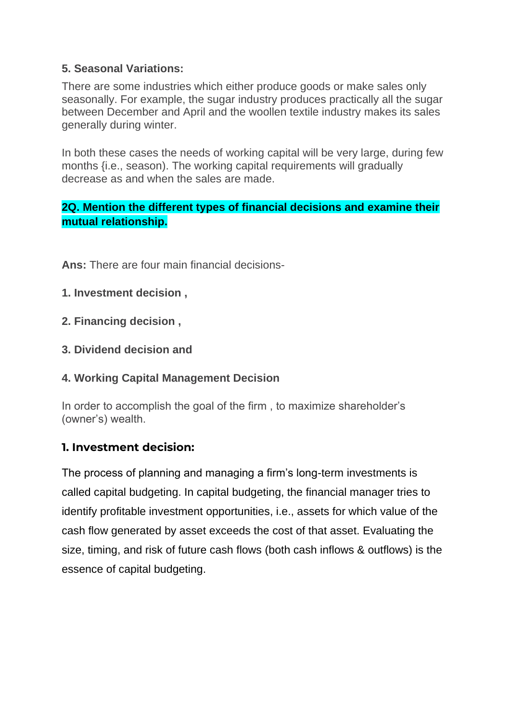## **5. Seasonal Variations:**

There are some industries which either produce goods or make sales only seasonally. For example, the sugar industry produces practically all the sugar between December and April and the woollen textile industry makes its sales generally during winter.

In both these cases the needs of working capital will be very large, during few months {i.e., season). The working capital requirements will gradually decrease as and when the sales are made.

# **2Q. Mention the different types of financial decisions and examine their mutual relationship.**

**Ans:** There are four main financial decisions-

- **1. Investment decision ,**
- **2. Financing decision ,**
- **3. Dividend decision and**

### **4. Working Capital Management Decision**

In order to accomplish the goal of the firm , to maximize shareholder's (owner's) wealth.

# **1. Investment decision:**

The process of planning and managing a firm's long-term investments is called capital budgeting. In capital budgeting, the financial manager tries to identify profitable investment opportunities, i.e., assets for which value of the cash flow generated by asset exceeds the cost of that asset. Evaluating the size, timing, and risk of future cash flows (both cash inflows & outflows) is the essence of capital budgeting.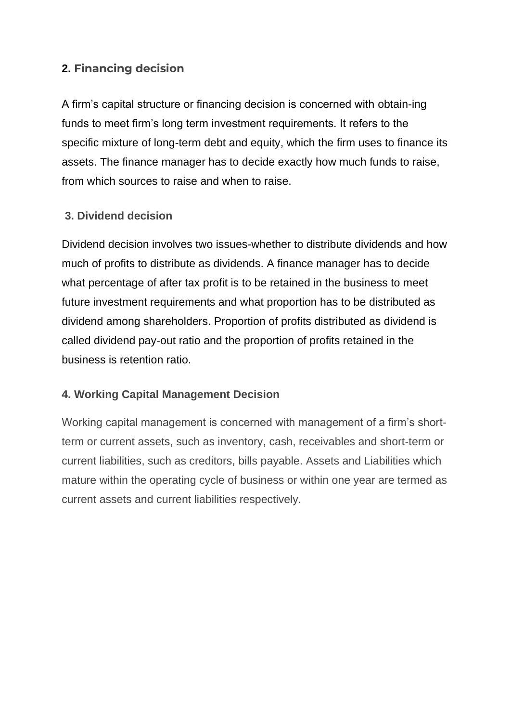# **2. Financing decision**

A firm's capital structure or financing decision is concerned with obtain-ing funds to meet firm's long term investment requirements. It refers to the specific mixture of long-term debt and equity, which the firm uses to finance its assets. The finance manager has to decide exactly how much funds to raise, from which sources to raise and when to raise.

## **3. Dividend decision**

Dividend decision involves two issues-whether to distribute dividends and how much of profits to distribute as dividends. A finance manager has to decide what percentage of after tax profit is to be retained in the business to meet future investment requirements and what proportion has to be distributed as dividend among shareholders. Proportion of profits distributed as dividend is called dividend pay-out ratio and the proportion of profits retained in the business is retention ratio.

### **4. Working Capital Management Decision**

Working capital management is concerned with management of a firm's shortterm or current assets, such as inventory, cash, receivables and short-term or current liabilities, such as creditors, bills payable. Assets and Liabilities which mature within the operating cycle of business or within one year are termed as current assets and current liabilities respectively.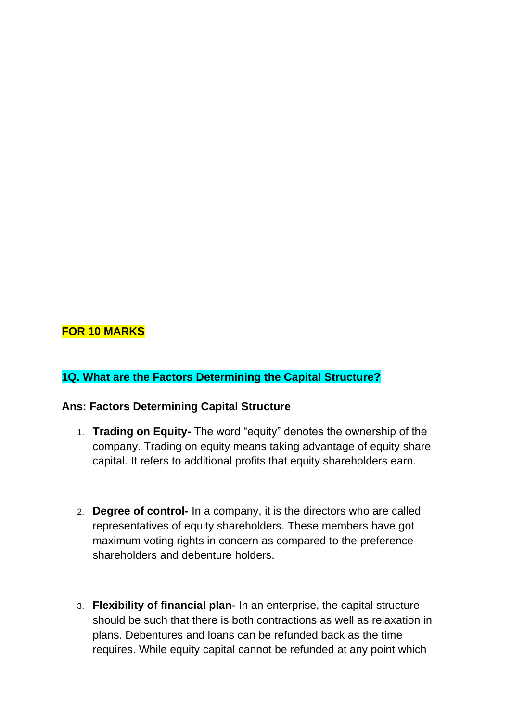# **FOR 10 MARKS**

### **1Q. What are the Factors Determining the Capital Structure?**

#### **Ans: Factors Determining Capital Structure**

- 1. **Trading on Equity-** The word "equity" denotes the ownership of the company. Trading on equity means taking advantage of equity share capital. It refers to additional profits that equity shareholders earn.
- 2. **Degree of control-** In a company, it is the directors who are called representatives of equity shareholders. These members have got maximum voting rights in concern as compared to the preference shareholders and debenture holders.
- 3. **Flexibility of financial plan-** In an enterprise, the capital structure should be such that there is both contractions as well as relaxation in plans. Debentures and loans can be refunded back as the time requires. While equity capital cannot be refunded at any point which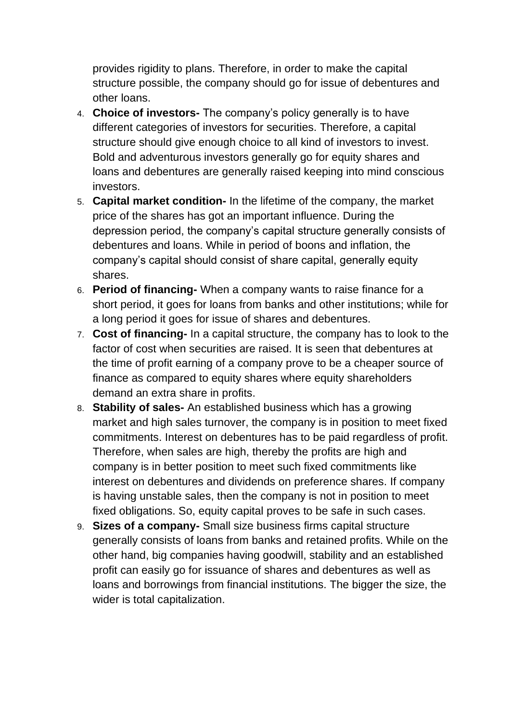provides rigidity to plans. Therefore, in order to make the capital structure possible, the company should go for issue of debentures and other loans.

- 4. **Choice of investors-** The company's policy generally is to have different categories of investors for securities. Therefore, a capital structure should give enough choice to all kind of investors to invest. Bold and adventurous investors generally go for equity shares and loans and debentures are generally raised keeping into mind conscious investors.
- 5. **Capital market condition-** In the lifetime of the company, the market price of the shares has got an important influence. During the depression period, the company's capital structure generally consists of debentures and loans. While in period of boons and inflation, the company's capital should consist of share capital, generally equity shares.
- 6. **Period of financing-** When a company wants to raise finance for a short period, it goes for loans from banks and other institutions; while for a long period it goes for issue of shares and debentures.
- 7. **Cost of financing-** In a capital structure, the company has to look to the factor of cost when securities are raised. It is seen that debentures at the time of profit earning of a company prove to be a cheaper source of finance as compared to equity shares where equity shareholders demand an extra share in profits.
- 8. **Stability of sales-** An established business which has a growing market and high sales turnover, the company is in position to meet fixed commitments. Interest on debentures has to be paid regardless of profit. Therefore, when sales are high, thereby the profits are high and company is in better position to meet such fixed commitments like interest on debentures and dividends on preference shares. If company is having unstable sales, then the company is not in position to meet fixed obligations. So, equity capital proves to be safe in such cases.
- 9. **Sizes of a company-** Small size business firms capital structure generally consists of loans from banks and retained profits. While on the other hand, big companies having goodwill, stability and an established profit can easily go for issuance of shares and debentures as well as loans and borrowings from financial institutions. The bigger the size, the wider is total capitalization.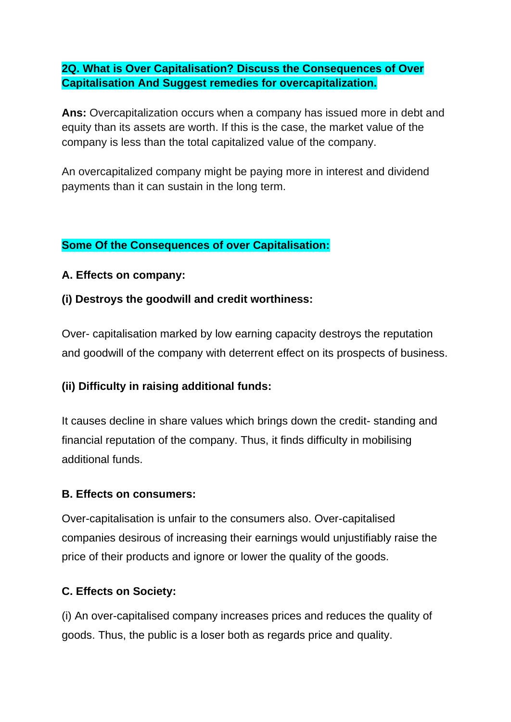## **2Q. What is Over Capitalisation? Discuss the Consequences of Over Capitalisation And Suggest remedies for overcapitalization.**

**Ans:** Overcapitalization occurs when a company has issued more in debt and equity than its assets are worth. If this is the case, the market value of the company is less than the total capitalized value of the company.

An overcapitalized company might be paying more in interest and dividend payments than it can sustain in the long term.

### **Some Of the Consequences of over Capitalisation:**

#### **A. Effects on company:**

**(i) Destroys the goodwill and credit worthiness:**

Over- capitalisation marked by low earning capacity destroys the reputation and goodwill of the company with deterrent effect on its prospects of business.

### **(ii) Difficulty in raising additional funds:**

It causes decline in share values which brings down the credit- standing and financial reputation of the company. Thus, it finds difficulty in mobilising additional funds.

#### **B. Effects on consumers:**

Over-capitalisation is unfair to the consumers also. Over-capitalised companies desirous of increasing their earnings would unjustifiably raise the price of their products and ignore or lower the quality of the goods.

### **C. Effects on Society:**

(i) An over-capitalised company increases prices and reduces the quality of goods. Thus, the public is a loser both as regards price and quality.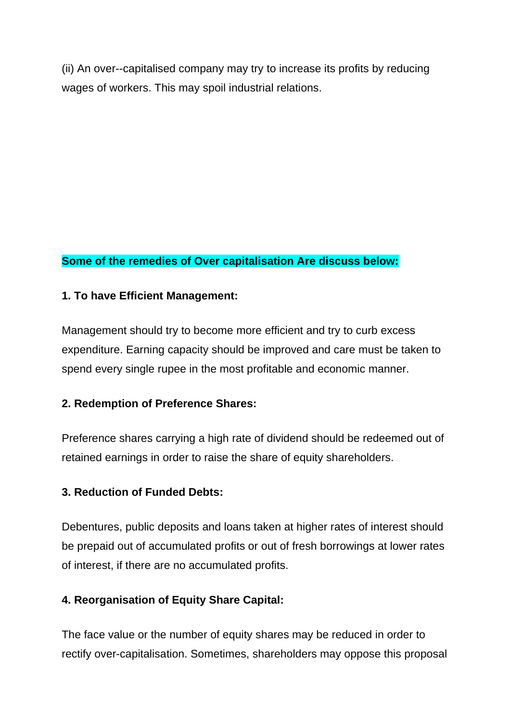(ii) An over--capitalised company may try to increase its profits by reducing wages of workers. This may spoil industrial relations.

# **Some of the remedies of Over capitalisation Are discuss below:**

### **1. To have Efficient Management:**

Management should try to become more efficient and try to curb excess expenditure. Earning capacity should be improved and care must be taken to spend every single rupee in the most profitable and economic manner.

### **2. Redemption of Preference Shares:**

Preference shares carrying a high rate of dividend should be redeemed out of retained earnings in order to raise the share of equity shareholders.

### **3. Reduction of Funded Debts:**

Debentures, public deposits and loans taken at higher rates of interest should be prepaid out of accumulated profits or out of fresh borrowings at lower rates of interest, if there are no accumulated profits.

# **4. Reorganisation of Equity Share Capital:**

The face value or the number of equity shares may be reduced in order to rectify over-capitalisation. Sometimes, shareholders may oppose this proposal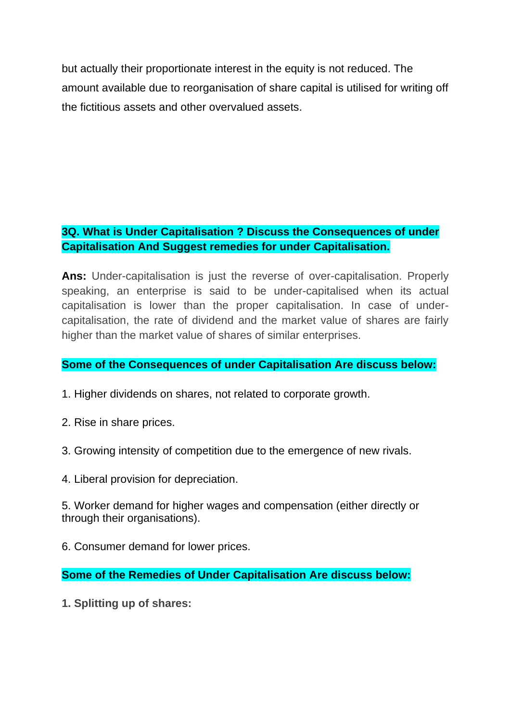but actually their proportionate interest in the equity is not reduced. The amount available due to reorganisation of share capital is utilised for writing off the fictitious assets and other overvalued assets.

## **3Q. What is Under Capitalisation ? Discuss the Consequences of under Capitalisation And Suggest remedies for under Capitalisation.**

**Ans:** Under-capitalisation is just the reverse of over-capitalisation. Properly speaking, an enterprise is said to be under-capitalised when its actual capitalisation is lower than the proper capitalisation. In case of undercapitalisation, the rate of dividend and the market value of shares are fairly higher than the market value of shares of similar enterprises.

### **Some of the Consequences of under Capitalisation Are discuss below:**

1. Higher dividends on shares, not related to corporate growth.

- 2. Rise in share prices.
- 3. Growing intensity of competition due to the emergence of new rivals.
- 4. Liberal provision for depreciation.

5. Worker demand for higher wages and compensation (either directly or through their organisations).

6. Consumer demand for lower prices.

**Some of the Remedies of Under Capitalisation Are discuss below:**

**1. Splitting up of shares:**